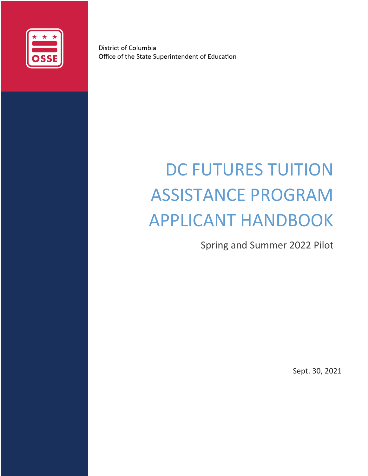

District of Columbia Office of the State Superintendent of Education

# DC FUTURES TUITION ASSISTANCE PROGRAM APPLICANT HANDBOOK

Spring and Summer 2022 Pilot

Sept. 30, 2021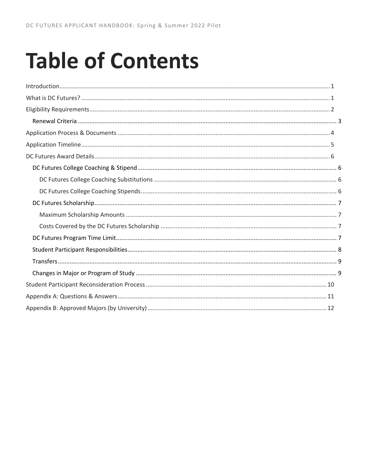# **Table of Contents**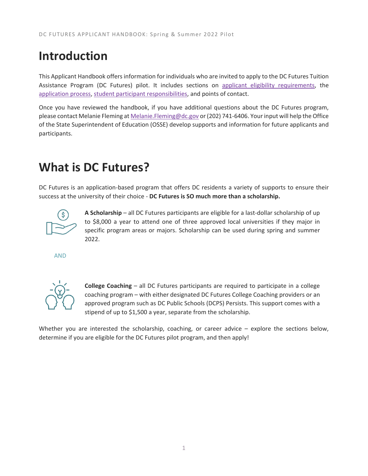# <span id="page-2-0"></span>**Introduction**

This Applicant Handbook offers information for individuals who are invited to apply to the DC Futures Tuition Assistance Program (DC Futures) pilot. It includes sections on [applicant eligibility](#page-3-0) requirements, the [application process,](#page-5-0) [student participant responsibilities,](#page-9-0) and points of contact.

Once you have reviewed the handbook, if you have additional questions about the DC Futures program, please contact Melanie Fleming a[t Melanie.Fleming@dc.gov](mailto:Melanie.Fleming@dc.gov?subject=DC%20Futures) or (202) 741-6406. Your input will help the Office of the State Superintendent of Education (OSSE) develop supports and information for future applicants and participants.

# <span id="page-2-1"></span>**What is DC Futures?**

DC Futures is an application-based program that offers DC residents a variety of supports to ensure their success at the university of their choice - **DC Futures is SO much more than a scholarship.**



**A Scholarship** – all DC Futures participants are eligible for a last-dollar scholarship of up to \$8,000 a year to attend one of three approved local universities if they major in specific program areas or majors. Scholarship can be used during spring and summer 2022.

AND



**College Coaching** – all DC Futures participants are required to participate in a college coaching program – with either designated DC Futures College Coaching providers or an approved program such as DC Public Schools (DCPS) Persists. This support comes with a stipend of up to \$1,500 a year, separate from the scholarship.

Whether you are interested the scholarship, coaching, or career advice – explore the sections below, determine if you are eligible for the DC Futures pilot program, and then apply!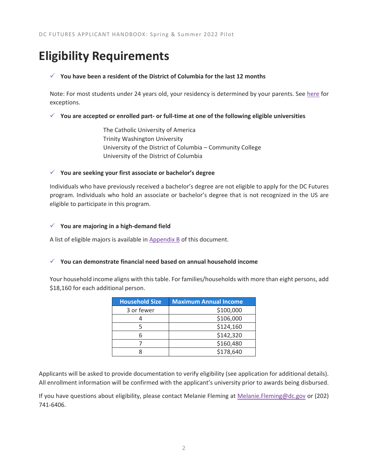# <span id="page-3-0"></span>**Eligibility Requirements**

### ✓ **You have been a resident of the District of Columbia for the last 12 months**

Note: For most students under 24 years old, your residency is determined by your parents. See [here](https://studentaid.gov/apply-for-aid/fafsa/filling-out/dependency) for exceptions.

✓ **You are accepted or enrolled part- or full-time at one of the following eligible universities**

The Catholic University of America Trinity Washington University University of the District of Columbia – Community College University of the District of Columbia

### ✓ **You are seeking your first associate or bachelor's degree**

Individuals who have previously received a bachelor's degree are not eligible to apply for the DC Futures program. Individuals who hold an associate or bachelor's degree that is not recognized in the US are eligible to participate in this program.

### ✓ **You are majoring in a high-demand field**

A list of eligible majors is available i[n Appendix B](#page-13-0) of this document.

### ✓ **You can demonstrate financial need based on annual household income**

Your household income aligns with this table. For families/households with more than eight persons, add \$18,160 for each additional person.

| <b>Household Size</b> | <b>Maximum Annual Income</b> |
|-----------------------|------------------------------|
| 3 or fewer            | \$100,000                    |
|                       | \$106,000                    |
|                       | \$124,160                    |
|                       | \$142,320                    |
|                       | \$160,480                    |
|                       | \$178,640                    |

Applicants will be asked to provide documentation to verify eligibility (see application for additional details). All enrollment information will be confirmed with the applicant's university prior to awards being disbursed.

If you have questions about eligibility, please contact Melanie Fleming at [Melanie.Fleming@dc.gov](file:///C:/Users/elizabeth.schiemann/AppData/Local/Temp/Melanie.Fleming@dc.gov) or (202) 741-6406.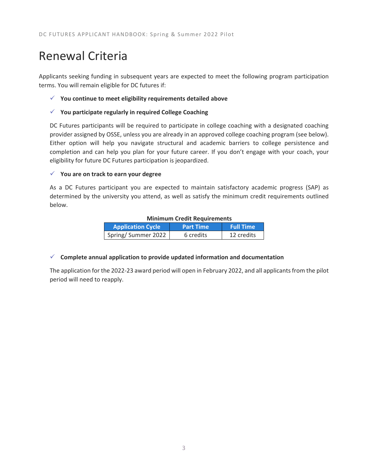# <span id="page-4-0"></span>Renewal Criteria

Applicants seeking funding in subsequent years are expected to meet the following program participation terms. You will remain eligible for DC futures if:

### ✓ **You continue to meet eligibility requirements detailed above**

### ✓ **You participate regularly in required College Coaching**

DC Futures participants will be required to participate in college coaching with a designated coaching provider assigned by OSSE, unless you are already in an approved college coaching program (see below). Either option will help you navigate structural and academic barriers to college persistence and completion and can help you plan for your future career. If you don't engage with your coach, your eligibility for future DC Futures participation is jeopardized.

### ✓ **You are on track to earn your degree**

As a DC Futures participant you are expected to maintain satisfactory academic progress (SAP) as determined by the university you attend, as well as satisfy the minimum credit requirements outlined below.

### **Minimum Credit Requirements**

| <b>Application Cycle</b> | <b>Part Time</b> | <b>Full Time</b> |
|--------------------------|------------------|------------------|
| Spring/Summer 2022       | 6 credits        | 12 credits       |

### ✓ **Complete annual application to provide updated information and documentation**

The application for the 2022-23 award period will open in February 2022, and all applicants from the pilot period will need to reapply.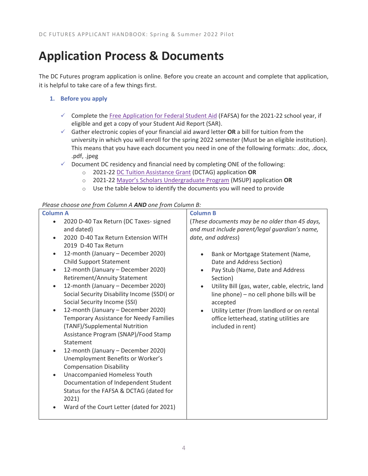# <span id="page-5-0"></span>**Application Process & Documents**

The DC Futures program application is online. Before you create an account and complete that application, it is helpful to take care of a few things first.

### **1. Before you apply**

- ✓ Complete the [Free Application for Federal Student Aid](https://fafsa.gov/) (FAFSA) for the 2021-22 school year, if eligible and get a copy of your Student Aid Report (SAR).
- ✓ Gather electronic copies of your financial aid award letter **OR** a bill for tuition from the university in which you will enroll for the spring 2022 semester (Must be an eligible institution). This means that you have each document you need in one of the following formats: .doc, .docx, .pdf, .jpeg
- ✓ Document DC residency and financial need by completing ONE of the following:
	- o 2021-22 [DC Tuition Assistance Grant](https://osse.dc.gov/node/1520) (DCTAG) application **OR**
	- o 2021-22 [Mayor's Scholars Undergraduate Program](https://osse.dc.gov/mayorsscholars) (MSUP) application **OR**
	- o Use the table below to identify the documents you will need to provide

### *Please choose one from Column A AND one from Column B:*

| 2020 D-40 Tax Return (DC Taxes- signed<br>(These documents may be no older than 45 days,<br>$\bullet$<br>and dated)<br>and must include parent/legal guardian's name,<br>date, and address)<br>2020 D-40 Tax Return Extension WITH<br>$\bullet$<br>2019 D-40 Tax Return<br>12-month (January - December 2020)<br>Bank or Mortgage Statement (Name,<br>$\bullet$<br><b>Child Support Statement</b><br>Date and Address Section)<br>12-month (January - December 2020)<br>Pay Stub (Name, Date and Address<br>$\bullet$<br>$\bullet$                                                                                                                                                                                                                                                                                                                                                                                                                      |
|---------------------------------------------------------------------------------------------------------------------------------------------------------------------------------------------------------------------------------------------------------------------------------------------------------------------------------------------------------------------------------------------------------------------------------------------------------------------------------------------------------------------------------------------------------------------------------------------------------------------------------------------------------------------------------------------------------------------------------------------------------------------------------------------------------------------------------------------------------------------------------------------------------------------------------------------------------|
| <b>Retirement/Annuity Statement</b><br>Section)<br>12-month (January - December 2020)<br>Utility Bill (gas, water, cable, electric, land<br>$\bullet$<br>$\bullet$<br>Social Security Disability Income (SSDI) or<br>line phone) - no cell phone bills will be<br>Social Security Income (SSI)<br>accepted<br>12-month (January - December 2020)<br>Utility Letter (from landlord or on rental<br>$\bullet$<br>$\bullet$<br>Temporary Assistance for Needy Families<br>office letterhead, stating utilities are<br>(TANF)/Supplemental Nutrition<br>included in rent)<br>Assistance Program (SNAP)/Food Stamp<br>Statement<br>12-month (January - December 2020)<br>$\bullet$<br>Unemployment Benefits or Worker's<br><b>Compensation Disability</b><br>Unaccompanied Homeless Youth<br>$\bullet$<br>Documentation of Independent Student<br>Status for the FAFSA & DCTAG (dated for<br>2021)<br>Ward of the Court Letter (dated for 2021)<br>$\bullet$ |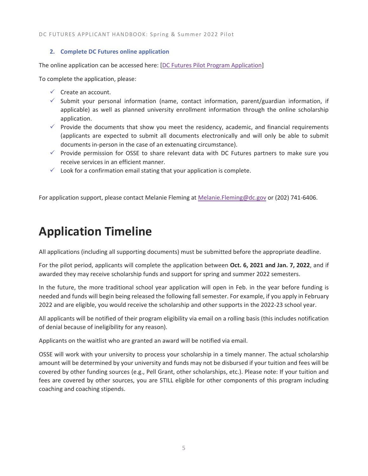DC FUTURES APPLICANT HANDBOOK: Spring & Summer 2022 Pilot

### **2. Complete DC Futures online application**

The online application can be accessed here: [\[DC Futures Pilot Program Application\]](https://octo.quickbase.com/db/brqraaa5y)

To complete the application, please:

- $\checkmark$  Create an account.
- $\checkmark$  Submit your personal information (name, contact information, parent/guardian information, if applicable) as well as planned university enrollment information through the online scholarship application.
- $\checkmark$  Provide the documents that show you meet the residency, academic, and financial requirements (applicants are expected to submit all documents electronically and will only be able to submit documents in-person in the case of an extenuating circumstance).
- $\checkmark$  Provide permission for OSSE to share relevant data with DC Futures partners to make sure you receive services in an efficient manner.
- $\checkmark$  Look for a confirmation email stating that your application is complete.

For application support, please contact Melanie Fleming a[t Melanie.Fleming@dc.gov](mailto:Melanie.Fleming@dc.gov?subject=DC%20Futures) or (202) 741-6406.

# <span id="page-6-0"></span>**Application Timeline**

All applications (including all supporting documents) must be submitted before the appropriate deadline.

For the pilot period, applicants will complete the application between **Oct. 6, 2021 and Jan. 7, 2022**, and if awarded they may receive scholarship funds and support for spring and summer 2022 semesters.

In the future, the more traditional school year application will open in Feb. in the year before funding is needed and funds will begin being released the following fall semester. For example, if you apply in February 2022 and are eligible, you would receive the scholarship and other supports in the 2022-23 school year.

All applicants will be notified of their program eligibility via email on a rolling basis (this includes notification of denial because of ineligibility for any reason).

Applicants on the waitlist who are granted an award will be notified via email.

OSSE will work with your university to process your scholarship in a timely manner. The actual scholarship amount will be determined by your university and funds may not be disbursed if your tuition and fees will be covered by other funding sources (e.g., Pell Grant, other scholarships, etc.). Please note: If your tuition and fees are covered by other sources, you are STILL eligible for other components of this program including coaching and coaching stipends.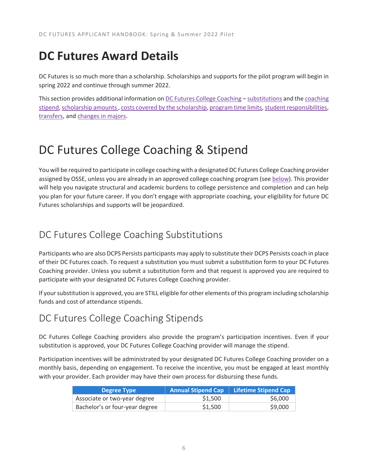# <span id="page-7-0"></span>**DC Futures Award Details**

DC Futures is so much more than a scholarship. Scholarships and supports for the pilot program will begin in spring 2022 and continue through summer 2022.

This section provides additional information o[n DC Futures College Coaching](#page-7-1) - [substitutions](#page-7-2) and th[e coaching](#page-7-3) [stipend,](#page-7-3) [scholarship amounts ,](#page-8-0) [costs covered by the scholarship,](#page-8-2) [program time limits,](#page-8-3) [student responsibilities,](#page-9-0) [transfers,](#page-10-0) and [changes in majors.](#page-10-1)

## <span id="page-7-1"></span>DC Futures College Coaching & Stipend

You will be required to participate in college coaching with a designated DC Futures College Coaching provider assigned by OSSE, unless you are already in an approved college coaching program (see [below\)](#page-7-2). This provider will help you navigate structural and academic burdens to college persistence and completion and can help you plan for your future career. If you don't engage with appropriate coaching, your eligibility for future DC Futures scholarships and supports will be jeopardized.

### <span id="page-7-2"></span>DC Futures College Coaching Substitutions

Participants who are also DCPS Persists participants may apply to substitute their DCPS Persists coach in place of their DC Futures coach. To request a substitution you must submit a substitution form to your DC Futures Coaching provider. Unless you submit a substitution form and that request is approved you are required to participate with your designated DC Futures College Coaching provider.

If your substitution is approved, you are STILL eligible for other elements of this program including scholarship funds and cost of attendance stipends.

### <span id="page-7-3"></span>DC Futures College Coaching Stipends

DC Futures College Coaching providers also provide the program's participation incentives. Even if your substitution is approved, your DC Futures College Coaching provider will manage the stipend.

Participation incentives will be administrated by your designated DC Futures College Coaching provider on a monthly basis, depending on engagement. To receive the incentive, you must be engaged at least monthly with your provider. Each provider may have their own process for disbursing these funds.

| Degree Type                    | <b>Annual Stipend Cap</b> | Lifetime Stipend Cap |
|--------------------------------|---------------------------|----------------------|
| Associate or two-year degree   | \$1,500                   | \$6,000              |
| Bachelor's or four-year degree | \$1,500                   | \$9,000              |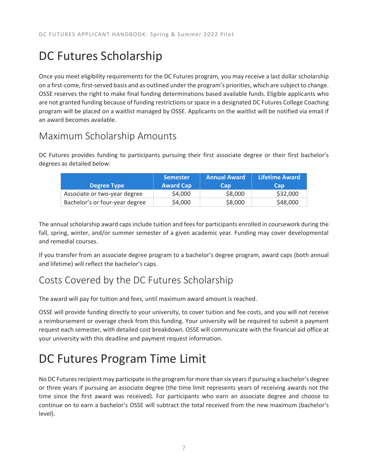# <span id="page-8-0"></span>DC Futures Scholarship

Once you meet eligibility requirements for the DC Futures program, you may receive a last dollar scholarship on a first-come, first-served basis and as outlined under the program's priorities, which are subject to change. OSSE reserves the right to make final funding determinations based available funds. Eligible applicants who are not granted funding because of funding restrictions or space in a designated DC Futures College Coaching program will be placed on a waitlist managed by OSSE. Applicants on the waitlist will be notified via email if an award becomes available.

### <span id="page-8-1"></span>Maximum Scholarship Amounts

DC Futures provides funding to participants pursuing their first associate degree or their first bachelor's degrees as detailed below:

|                                | <b>Semester</b>  | <b>Annual Award</b> | <b>Lifetime Award</b> |
|--------------------------------|------------------|---------------------|-----------------------|
| <b>Degree Type</b>             | <b>Award Cap</b> | Cap                 | Cap                   |
| Associate or two-year degree   | \$4,000          | \$8,000             | \$32,000              |
| Bachelor's or four-year degree | \$4,000          | \$8,000             | \$48,000              |

The annual scholarship award caps include tuition and fees for participants enrolled in coursework during the fall, spring, winter, and/or summer semester of a given academic year. Funding may cover developmental and remedial courses.

If you transfer from an associate degree program to a bachelor's degree program, award caps (both annual and lifetime) will reflect the bachelor's caps.

### <span id="page-8-2"></span>Costs Covered by the DC Futures Scholarship

The award will pay for tuition and fees, until maximum award amount is reached.

OSSE will provide funding directly to your university, to cover tuition and fee costs, and you will not receive a reimbursement or overage check from this funding. Your university will be required to submit a payment request each semester, with detailed cost breakdown. OSSE will communicate with the financial aid office at your university with this deadline and payment request information.

# <span id="page-8-3"></span>DC Futures Program Time Limit

No DC Futures recipient may participate in the program for more than six yearsif pursuing a bachelor's degree or three years if pursuing an associate degree (the time limit represents years of receiving awards not the time since the first award was received). For participants who earn an associate degree and choose to continue on to earn a bachelor's OSSE will subtract the total received from the new maximum (bachelor's level).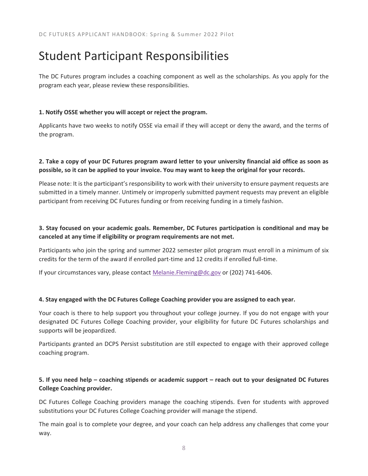# <span id="page-9-0"></span>Student Participant Responsibilities

The DC Futures program includes a coaching component as well as the scholarships. As you apply for the program each year, please review these responsibilities.

### **1. Notify OSSE whether you will accept or reject the program.**

Applicants have two weeks to notify OSSE via email if they will accept or deny the award, and the terms of the program.

### **2. Take a copy of your DC Futures program award letter to your university financial aid office as soon as possible, so it can be applied to your invoice. You may want to keep the original for your records.**

Please note: It is the participant's responsibility to work with their university to ensure payment requests are submitted in a timely manner. Untimely or improperly submitted payment requests may prevent an eligible participant from receiving DC Futures funding or from receiving funding in a timely fashion.

### **3. Stay focused on your academic goals. Remember, DC Futures participation is conditional and may be canceled at any time if eligibility or program requirements are not met.**

Participants who join the spring and summer 2022 semester pilot program must enroll in a minimum of six credits for the term of the award if enrolled part-time and 12 credits if enrolled full-time.

If your circumstances vary, please contact [Melanie.Fleming@dc.gov](mailto:Melanie.Fleming@dc.gov) or (202) 741-6406.

### **4. Stay engaged with the DC Futures College Coaching provider you are assigned to each year.**

Your coach is there to help support you throughout your college journey. If you do not engage with your designated DC Futures College Coaching provider, your eligibility for future DC Futures scholarships and supports will be jeopardized.

Participants granted an DCPS Persist substitution are still expected to engage with their approved college coaching program.

### **5. If you need help – coaching stipends or academic support – reach out to your designated DC Futures College Coaching provider.**

DC Futures College Coaching providers manage the coaching stipends. Even for students with approved substitutions your DC Futures College Coaching provider will manage the stipend.

The main goal is to complete your degree, and your coach can help address any challenges that come your way.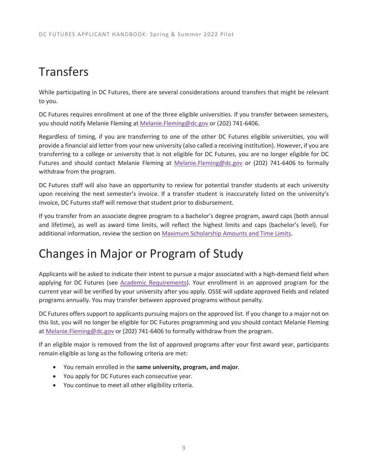# <span id="page-10-0"></span>**Transfers**

While participating in DC Futures, there are several considerations around transfers that might be relevant to you.

DC Futures requires enrollment at one of the three eligible universities. If you transfer between semesters, you should notify Melanie Fleming at [Melanie.Fleming@dc.gov](mailto:Melanie.Fleming@dc.gov) or (202) 741-6406.

Regardless of timing, if you are transferring to one of the other DC Futures eligible universities, you will provide a financial aid letter from your new university (also called a receiving institution). However, if you are transferring to a college or university that is not eligible for DC Futures, you are no longer eligible for DC Futures and should contact Melanie Fleming at [Melanie.Fleming@dc.gov](mailto:Melanie.Fleming@dc.gov) or (202) 741-6406 to formally withdraw from the program.

DC Futures staff will also have an opportunity to review for potential transfer students at each university upon receiving the next semester's invoice. If a transfer student is inaccurately listed on the university's invoice, DC Futures staff will remove that student prior to disbursement.

If you transfer from an associate degree program to a bachelor's degree program, award caps (both annual and lifetime), as well as award time limits, will reflect the highest limits and caps (bachelor's level). For additional information, review the section on [Maximum Scholarship Amounts and Time Limits.](#page-8-1)

# <span id="page-10-1"></span>Changes in Major or Program of Study

Applicants will be asked to indicate their intent to pursue a major associated with a high-demand field when applying for DC Futures (see [Academic Requirements\)](#page-4-0). Your enrollment in an approved program for the current year will be verified by your university after you apply. OSSE will update approved fields and related programs annually. You may transfer between approved programs without penalty.

DC Futures offers support to applicants pursuing majors on the approved list. If you change to a major not on this list, you will no longer be eligible for DC Futures programming and you should contact Melanie Fleming at [Melanie.Fleming@dc.gov](mailto:Melanie.Fleming@dc.gov) or (202) 741-6406 to formally withdraw from the program.

If an eligible major is removed from the list of approved programs after your first award year, participants remain eligible as long as the following criteria are met:

- You remain enrolled in the **same university, program, and major**.
- You apply for DC Futures each consecutive year.
- You continue to meet all other eligibility criteria.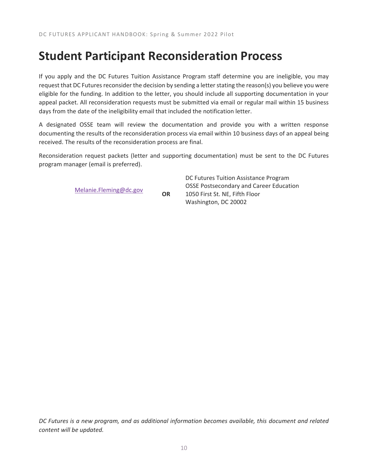### <span id="page-11-0"></span>**Student Participant Reconsideration Process**

If you apply and the DC Futures Tuition Assistance Program staff determine you are ineligible, you may request that DC Futures reconsider the decision by sending a letter stating the reason(s) you believe you were eligible for the funding. In addition to the letter, you should include all supporting documentation in your appeal packet. All reconsideration requests must be submitted via email or regular mail within 15 business days from the date of the ineligibility email that included the notification letter.

A designated OSSE team will review the documentation and provide you with a written response documenting the results of the reconsideration process via email within 10 business days of an appeal being received. The results of the reconsideration process are final.

Reconsideration request packets (letter and supporting documentation) must be sent to the DC Futures program manager (email is preferred).

[Melanie.Fleming@dc.gov](mailto:Melanie.Fleming@dc.gov) **OR**

DC Futures Tuition Assistance Program OSSE Postsecondary and Career Education 1050 First St. NE, Fifth Floor Washington, DC 20002

*DC Futures is a new program, and as additional information becomes available, this document and related content will be updated.*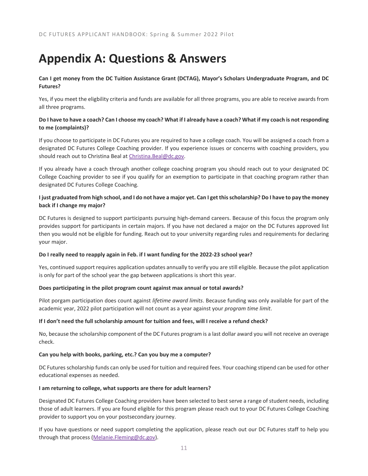# <span id="page-12-0"></span>**Appendix A: Questions & Answers**

### **Can I get money from the DC Tuition Assistance Grant (DCTAG), Mayor's Scholars Undergraduate Program, and DC Futures?**

Yes, if you meet the eligbility criteria and funds are available for all three programs, you are able to receive awards from all three programs.

### **Do I have to have a coach? Can I choose my coach? What if I already have a coach? What if my coach is not responding to me (complaints)?**

If you choose to participate in DC Futures you are required to have a college coach. You will be assigned a coach from a designated DC Futures College Coaching provider. If you experience issues or concerns with coaching providers, you should reach out to Christina Beal a[t Christina.Beal@dc.gov.](mailto:Christina.Beal@dc.gov)

If you already have a coach through another college coaching program you should reach out to your designated DC College Coaching provider to see if you qualify for an exemption to participate in that coaching program rather than designated DC Futures College Coaching.

### **I just graduated from high school, and I do not have a major yet. Can I get this scholarship? Do I have to pay the money back if I change my major?**

DC Futures is designed to support participants pursuing high-demand careers. Because of this focus the program only provides support for participants in certain majors. If you have not declared a major on the DC Futures approved list then you would not be eligible for funding. Reach out to your university regarding rules and requirements for declaring your major.

#### **Do I really need to reapply again in Feb. if I want funding for the 2022-23 school year?**

Yes, continued support requires application updates annually to verify you are still eligible. Because the pilot application is only for part of the school year the gap between applications is short this year.

#### **Does participating in the pilot program count against max annual or total awards?**

Pilot porgam participation does count against *lifetime award limits*. Because funding was only available for part of the academic year, 2022 pilot participation will not count as a year against your *program time limit*.

#### **If I don't need the full scholarship amount for tuition and fees, will I receive a refund check?**

No, because the scholarship component of the DC Futures program is a last dollar award you will not receive an overage check.

#### **Can you help with books, parking, etc.? Can you buy me a computer?**

DC Futures scholarship funds can only be used for tuition and required fees. Your coaching stipend can be used for other educational expenses as needed.

#### **I am returning to college, what supports are there for adult learners?**

Designated DC Futures College Coaching providers have been selected to best serve a range of student needs, including those of adult learners. If you are found eligible for this program please reach out to your DC Futures College Coaching provider to support you on your postsecondary journey.

If you have questions or need support completing the application, please reach out our DC Futures staff to help you through that process [\(Melanie.Fleming@dc.gov\)](mailto:Melanie.Fleming@dc.gov).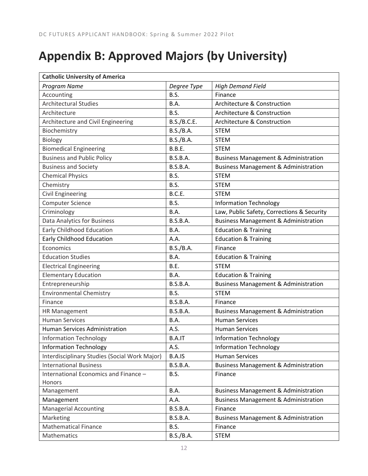# <span id="page-13-0"></span>**Appendix B: Approved Majors (by University)**

| <b>Catholic University of America</b>         |                 |                                                 |
|-----------------------------------------------|-----------------|-------------------------------------------------|
| Program Name                                  | Degree Type     | <b>High Demand Field</b>                        |
| Accounting                                    | B.S.            | Finance                                         |
| Architectural Studies                         | B.A.            | Architecture & Construction                     |
| Architecture                                  | B.S.            | Architecture & Construction                     |
| Architecture and Civil Engineering            | B.S./B.C.E.     | Architecture & Construction                     |
| Biochemistry                                  | B.S./B.A.       | <b>STEM</b>                                     |
| Biology                                       | B.S./B.A.       | <b>STEM</b>                                     |
| <b>Biomedical Engineering</b>                 | <b>B.B.E.</b>   | <b>STEM</b>                                     |
| <b>Business and Public Policy</b>             | <b>B.S.B.A.</b> | <b>Business Management &amp; Administration</b> |
| <b>Business and Society</b>                   | <b>B.S.B.A.</b> | <b>Business Management &amp; Administration</b> |
| <b>Chemical Physics</b>                       | B.S.            | <b>STEM</b>                                     |
| Chemistry                                     | B.S.            | <b>STEM</b>                                     |
| <b>Civil Engineering</b>                      | B.C.E.          | <b>STEM</b>                                     |
| <b>Computer Science</b>                       | B.S.            | <b>Information Technology</b>                   |
| Criminology                                   | B.A.            | Law, Public Safety, Corrections & Security      |
| Data Analytics for Business                   | <b>B.S.B.A.</b> | <b>Business Management &amp; Administration</b> |
| Early Childhood Education                     | B.A.            | <b>Education &amp; Training</b>                 |
| <b>Early Childhood Education</b>              | A.A.            | <b>Education &amp; Training</b>                 |
| Economics                                     | B.S./B.A.       | Finance                                         |
| <b>Education Studies</b>                      | B.A.            | <b>Education &amp; Training</b>                 |
| <b>Electrical Engineering</b>                 | B.E.            | <b>STEM</b>                                     |
| <b>Elementary Education</b>                   | <b>B.A.</b>     | <b>Education &amp; Training</b>                 |
| Entrepreneurship                              | <b>B.S.B.A.</b> | <b>Business Management &amp; Administration</b> |
| <b>Environmental Chemistry</b>                | B.S.            | <b>STEM</b>                                     |
| Finance                                       | <b>B.S.B.A.</b> | Finance                                         |
| HR Management                                 | <b>B.S.B.A.</b> | <b>Business Management &amp; Administration</b> |
| <b>Human Services</b>                         | B.A.            | <b>Human Services</b>                           |
| <b>Human Services Administration</b>          | A.S.            | <b>Human Services</b>                           |
| <b>Information Technology</b>                 | B.A.IT          | <b>Information Technology</b>                   |
| <b>Information Technology</b>                 | A.S.            | <b>Information Technology</b>                   |
| Interdisciplinary Studies (Social Work Major) | B.A.IS          | <b>Human Services</b>                           |
| <b>International Business</b>                 | <b>B.S.B.A.</b> | <b>Business Management &amp; Administration</b> |
| International Economics and Finance -         | B.S.            | Finance                                         |
| Honors                                        |                 |                                                 |
| Management                                    | B.A.            | <b>Business Management &amp; Administration</b> |
| Management                                    | A.A.            | <b>Business Management &amp; Administration</b> |
| <b>Managerial Accounting</b>                  | B.S.B.A.        | Finance                                         |
| Marketing                                     | B.S.B.A.        | <b>Business Management &amp; Administration</b> |
| <b>Mathematical Finance</b>                   | B.S.            | Finance                                         |
| Mathematics                                   | B.S./B.A.       | <b>STEM</b>                                     |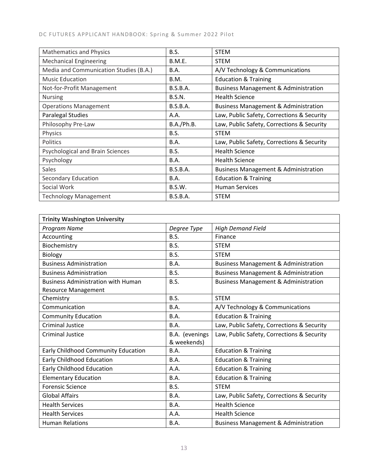| <b>Mathematics and Physics</b>         | B.S.            | <b>STEM</b>                                     |
|----------------------------------------|-----------------|-------------------------------------------------|
| <b>Mechanical Engineering</b>          | <b>B.M.E.</b>   | <b>STEM</b>                                     |
| Media and Communication Studies (B.A.) | B.A.            | A/V Technology & Communications                 |
| <b>Music Education</b>                 | B.M.            | <b>Education &amp; Training</b>                 |
| Not-for-Profit Management              | <b>B.S.B.A.</b> | <b>Business Management &amp; Administration</b> |
| <b>Nursing</b>                         | <b>B.S.N.</b>   | <b>Health Science</b>                           |
| <b>Operations Management</b>           | <b>B.S.B.A.</b> | <b>Business Management &amp; Administration</b> |
| Paralegal Studies                      | A.A.            | Law, Public Safety, Corrections & Security      |
| Philosophy Pre-Law                     | B.A./Ph.B.      | Law, Public Safety, Corrections & Security      |
| Physics                                | <b>B.S.</b>     | <b>STEM</b>                                     |
| Politics                               | B.A.            | Law, Public Safety, Corrections & Security      |
| Psychological and Brain Sciences       | B.S.            | <b>Health Science</b>                           |
| Psychology                             | B.A.            | <b>Health Science</b>                           |
| Sales                                  | <b>B.S.B.A.</b> | <b>Business Management &amp; Administration</b> |
| Secondary Education                    | <b>B.A.</b>     | <b>Education &amp; Training</b>                 |
| Social Work                            | <b>B.S.W.</b>   | <b>Human Services</b>                           |
| <b>Technology Management</b>           | <b>B.S.B.A.</b> | <b>STEM</b>                                     |

| <b>Trinity Washington University</b>      |                |                                                 |
|-------------------------------------------|----------------|-------------------------------------------------|
| Program Name                              | Degree Type    | <b>High Demand Field</b>                        |
| Accounting                                | B.S.           | Finance                                         |
| Biochemistry                              | B.S.           | <b>STEM</b>                                     |
| Biology                                   | B.S.           | <b>STEM</b>                                     |
| <b>Business Administration</b>            | B.A.           | <b>Business Management &amp; Administration</b> |
| <b>Business Administration</b>            | B.S.           | <b>Business Management &amp; Administration</b> |
| <b>Business Administration with Human</b> | B.S.           | <b>Business Management &amp; Administration</b> |
| <b>Resource Management</b>                |                |                                                 |
| Chemistry                                 | B.S.           | <b>STEM</b>                                     |
| Communication                             | B.A.           | A/V Technology & Communications                 |
| <b>Community Education</b>                | <b>B.A.</b>    | <b>Education &amp; Training</b>                 |
| <b>Criminal Justice</b>                   | <b>B.A.</b>    | Law, Public Safety, Corrections & Security      |
| <b>Criminal Justice</b>                   | B.A. (evenings | Law, Public Safety, Corrections & Security      |
|                                           | & weekends)    |                                                 |
| Early Childhood Community Education       | B.A.           | <b>Education &amp; Training</b>                 |
| <b>Early Childhood Education</b>          | <b>B.A.</b>    | <b>Education &amp; Training</b>                 |
| <b>Early Childhood Education</b>          | A.A.           | <b>Education &amp; Training</b>                 |
| <b>Elementary Education</b>               | <b>B.A.</b>    | <b>Education &amp; Training</b>                 |
| <b>Forensic Science</b>                   | B.S.           | <b>STEM</b>                                     |
| <b>Global Affairs</b>                     | B.A.           | Law, Public Safety, Corrections & Security      |
| <b>Health Services</b>                    | B.A.           | <b>Health Science</b>                           |
| <b>Health Services</b>                    | A.A.           | <b>Health Science</b>                           |
| <b>Human Relations</b>                    | B.A.           | <b>Business Management &amp; Administration</b> |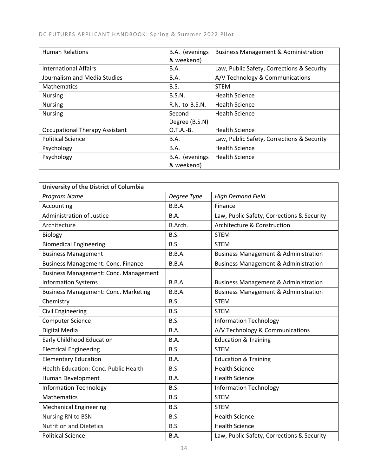### DC FUTURES APPLICANT HANDBOOK: Spring & Summer 2022 Pilot

| <b>Human Relations</b>                | B.A. (evenings<br>& weekend) | <b>Business Management &amp; Administration</b> |
|---------------------------------------|------------------------------|-------------------------------------------------|
| <b>International Affairs</b>          | B.A.                         | Law, Public Safety, Corrections & Security      |
| Journalism and Media Studies          | B.A.                         | A/V Technology & Communications                 |
| <b>Mathematics</b>                    | <b>B.S.</b>                  | <b>STEM</b>                                     |
| <b>Nursing</b>                        | B.S.N.                       | <b>Health Science</b>                           |
| <b>Nursing</b>                        | $R.N.-to-B.S.N.$             | <b>Health Science</b>                           |
| <b>Nursing</b>                        | Second                       | <b>Health Science</b>                           |
|                                       | Degree (B.S.N)               |                                                 |
| <b>Occupational Therapy Assistant</b> | $O.T.A.-B.$                  | <b>Health Science</b>                           |
| <b>Political Science</b>              | B.A.                         | Law, Public Safety, Corrections & Security      |
| Psychology                            | <b>B.A.</b>                  | <b>Health Science</b>                           |
| Psychology                            | B.A. (evenings               | <b>Health Science</b>                           |
|                                       | & weekend)                   |                                                 |

| University of the District of Columbia      |               |                                                 |  |
|---------------------------------------------|---------------|-------------------------------------------------|--|
| Program Name                                | Degree Type   | <b>High Demand Field</b>                        |  |
| Accounting                                  | B.B.A.        | Finance                                         |  |
| <b>Administration of Justice</b>            | B.A.          | Law, Public Safety, Corrections & Security      |  |
| Architecture                                | B.Arch.       | Architecture & Construction                     |  |
| Biology                                     | B.S.          | <b>STEM</b>                                     |  |
| <b>Biomedical Engineering</b>               | B.S.          | <b>STEM</b>                                     |  |
| <b>Business Management</b>                  | B.B.A.        | <b>Business Management &amp; Administration</b> |  |
| <b>Business Management: Conc. Finance</b>   | <b>B.B.A.</b> | <b>Business Management &amp; Administration</b> |  |
| Business Management: Conc. Management       |               |                                                 |  |
| <b>Information Systems</b>                  | B.B.A.        | <b>Business Management &amp; Administration</b> |  |
| <b>Business Management: Conc. Marketing</b> | B.B.A.        | <b>Business Management &amp; Administration</b> |  |
| Chemistry                                   | B.S.          | <b>STEM</b>                                     |  |
| <b>Civil Engineering</b>                    | B.S.          | <b>STEM</b>                                     |  |
| <b>Computer Science</b>                     | B.S.          | <b>Information Technology</b>                   |  |
| Digital Media                               | <b>B.A.</b>   | A/V Technology & Communications                 |  |
| <b>Early Childhood Education</b>            | B.A.          | <b>Education &amp; Training</b>                 |  |
| <b>Electrical Engineering</b>               | B.S.          | <b>STEM</b>                                     |  |
| <b>Elementary Education</b>                 | B.A.          | <b>Education &amp; Training</b>                 |  |
| Health Education: Conc. Public Health       | B.S.          | <b>Health Science</b>                           |  |
| Human Development                           | <b>B.A.</b>   | <b>Health Science</b>                           |  |
| <b>Information Technology</b>               | B.S.          | <b>Information Technology</b>                   |  |
| Mathematics                                 | B.S.          | <b>STEM</b>                                     |  |
| <b>Mechanical Engineering</b>               | B.S.          | <b>STEM</b>                                     |  |
| Nursing RN to BSN                           | B.S.          | <b>Health Science</b>                           |  |
| <b>Nutrition and Dietetics</b>              | B.S.          | <b>Health Science</b>                           |  |
| <b>Political Science</b>                    | B.A.          | Law, Public Safety, Corrections & Security      |  |